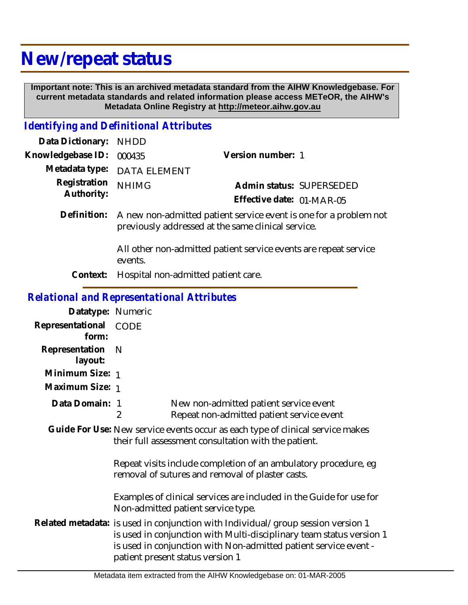## **New/repeat status**

 **Important note: This is an archived metadata standard from the AIHW Knowledgebase. For current metadata standards and related information please access METeOR, the AIHW's Metadata Online Registry at http://meteor.aihw.gov.au**

## *Identifying and Definitional Attributes*

| Data Dictionary:           | <b>NHDD</b>                                                                                                             |                           |                          |
|----------------------------|-------------------------------------------------------------------------------------------------------------------------|---------------------------|--------------------------|
| Knowledgebase ID:          | 000435                                                                                                                  | Version number: 1         |                          |
| Metadata type:             | <b>DATA ELEMENT</b>                                                                                                     |                           |                          |
| Registration<br>Authority: | <b>NHIMG</b>                                                                                                            |                           | Admin status: SUPERSEDED |
|                            |                                                                                                                         | Effective date: 01-MAR-05 |                          |
| Definition:                | A new non-admitted patient service event is one for a problem not<br>previously addressed at the same clinical service. |                           |                          |
|                            | All other non-admitted patient service events are repeat service<br>events.                                             |                           |                          |
| Context:                   | Hospital non-admitted patient care.                                                                                     |                           |                          |
|                            | <b>Relational and Representational Attributes</b>                                                                       |                           |                          |
| Datatype: Numeric          |                                                                                                                         |                           |                          |

| Datalype. INUTTELIC       |             |                                                                                                                                                                                                                                                                  |
|---------------------------|-------------|------------------------------------------------------------------------------------------------------------------------------------------------------------------------------------------------------------------------------------------------------------------|
| Representational<br>form: | <b>CODE</b> |                                                                                                                                                                                                                                                                  |
| Representation<br>layout: | N           |                                                                                                                                                                                                                                                                  |
| Minimum Size: 1           |             |                                                                                                                                                                                                                                                                  |
| Maximum Size: 1           |             |                                                                                                                                                                                                                                                                  |
| Data Domain: 1            | 2           | New non-admitted patient service event<br>Repeat non-admitted patient service event                                                                                                                                                                              |
|                           |             | Guide For Use: New service events occur as each type of clinical service makes<br>their full assessment consultation with the patient.                                                                                                                           |
|                           |             | Repeat visits include completion of an ambulatory procedure, eg<br>removal of sutures and removal of plaster casts.                                                                                                                                              |
|                           |             | Examples of clinical services are included in the Guide for use for<br>Non-admitted patient service type.                                                                                                                                                        |
|                           |             | Related metadata: is used in conjunction with Individual/group session version 1<br>is used in conjunction with Multi-disciplinary team status version 1<br>is used in conjunction with Non-admitted patient service event -<br>patient present status version 1 |
|                           |             |                                                                                                                                                                                                                                                                  |